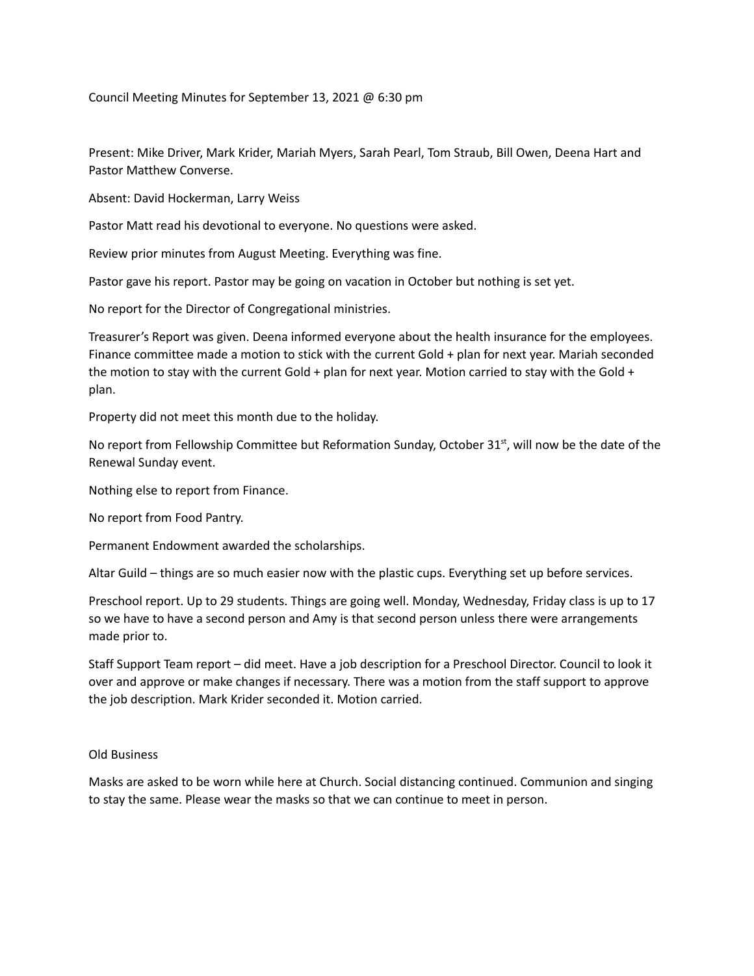Council Meeting Minutes for September 13, 2021 @ 6:30 pm

Present: Mike Driver, Mark Krider, Mariah Myers, Sarah Pearl, Tom Straub, Bill Owen, Deena Hart and Pastor Matthew Converse.

Absent: David Hockerman, Larry Weiss

Pastor Matt read his devotional to everyone. No questions were asked.

Review prior minutes from August Meeting. Everything was fine.

Pastor gave his report. Pastor may be going on vacation in October but nothing is set yet.

No report for the Director of Congregational ministries.

Treasurer's Report was given. Deena informed everyone about the health insurance for the employees. Finance committee made a motion to stick with the current Gold + plan for next year. Mariah seconded the motion to stay with the current Gold + plan for next year. Motion carried to stay with the Gold + plan.

Property did not meet this month due to the holiday.

No report from Fellowship Committee but Reformation Sunday, October 31<sup>st</sup>, will now be the date of the Renewal Sunday event.

Nothing else to report from Finance.

No report from Food Pantry.

Permanent Endowment awarded the scholarships.

Altar Guild – things are so much easier now with the plastic cups. Everything set up before services.

Preschool report. Up to 29 students. Things are going well. Monday, Wednesday, Friday class is up to 17 so we have to have a second person and Amy is that second person unless there were arrangements made prior to.

Staff Support Team report – did meet. Have a job description for a Preschool Director. Council to look it over and approve or make changes if necessary. There was a motion from the staff support to approve the job description. Mark Krider seconded it. Motion carried.

## Old Business

Masks are asked to be worn while here at Church. Social distancing continued. Communion and singing to stay the same. Please wear the masks so that we can continue to meet in person.